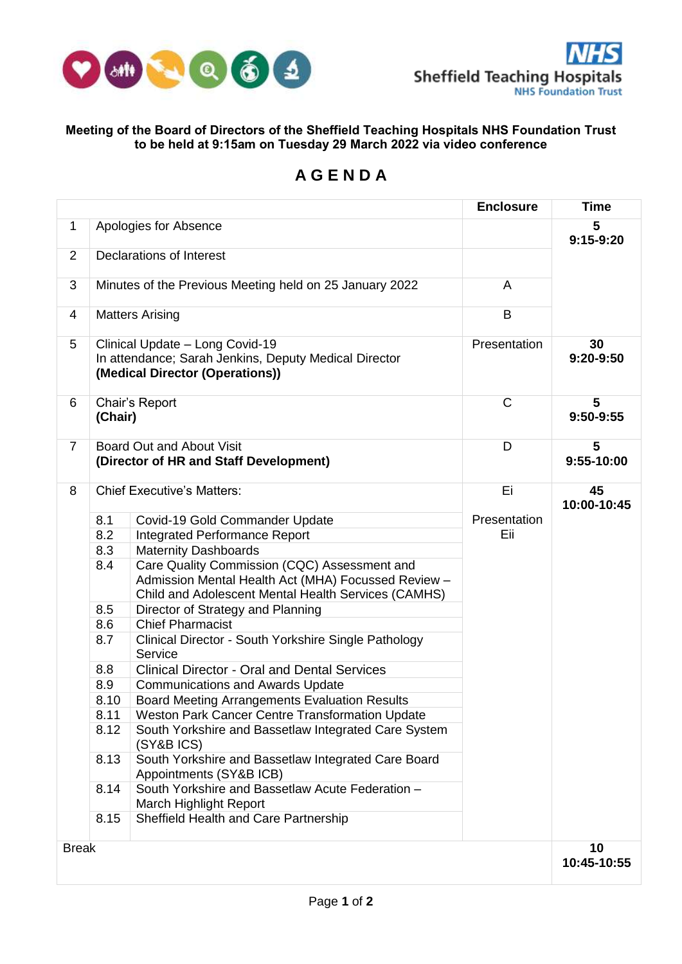

## **Meeting of the Board of Directors of the Sheffield Teaching Hospitals NHS Foundation Trust to be held at 9:15am on Tuesday 29 March 2022 via video conference**

## **A G E N D A**

|                |                                   |                                                                                                                                                            | <b>Enclosure</b> | Time              |
|----------------|-----------------------------------|------------------------------------------------------------------------------------------------------------------------------------------------------------|------------------|-------------------|
| $\mathbf 1$    | Apologies for Absence             | 5<br>$9:15-9:20$                                                                                                                                           |                  |                   |
| $\overline{2}$ | Declarations of Interest          |                                                                                                                                                            |                  |                   |
| 3              |                                   | Minutes of the Previous Meeting held on 25 January 2022                                                                                                    | A                |                   |
| 4              |                                   | <b>Matters Arising</b>                                                                                                                                     | B                |                   |
| 5              |                                   | Clinical Update - Long Covid-19<br>In attendance; Sarah Jenkins, Deputy Medical Director<br>(Medical Director (Operations))                                | Presentation     | 30<br>9:20-9:50   |
| 6              | Chair's Report<br>(Chair)         |                                                                                                                                                            | C                | 5<br>9:50-9:55    |
| $\overline{7}$ |                                   | Board Out and About Visit<br>(Director of HR and Staff Development)                                                                                        | D                | 5<br>9:55-10:00   |
| 8              | <b>Chief Executive's Matters:</b> |                                                                                                                                                            | Ei               | 45<br>10:00-10:45 |
|                | 8.1                               | Covid-19 Gold Commander Update                                                                                                                             | Presentation     |                   |
|                | 8.2                               | Integrated Performance Report                                                                                                                              | Eii              |                   |
|                | 8.3                               | <b>Maternity Dashboards</b>                                                                                                                                |                  |                   |
|                | 8.4                               | Care Quality Commission (CQC) Assessment and<br>Admission Mental Health Act (MHA) Focussed Review -<br>Child and Adolescent Mental Health Services (CAMHS) |                  |                   |
|                | 8.5                               | Director of Strategy and Planning                                                                                                                          |                  |                   |
|                | 8.6                               | <b>Chief Pharmacist</b>                                                                                                                                    |                  |                   |
|                | 8.7                               | Clinical Director - South Yorkshire Single Pathology<br>Service                                                                                            |                  |                   |
|                | 8.8                               | <b>Clinical Director - Oral and Dental Services</b>                                                                                                        |                  |                   |
|                | 8.9                               | <b>Communications and Awards Update</b>                                                                                                                    |                  |                   |
|                | 8.10                              | <b>Board Meeting Arrangements Evaluation Results</b>                                                                                                       |                  |                   |
|                | 8.11                              | Weston Park Cancer Centre Transformation Update                                                                                                            |                  |                   |
|                | 8.12                              | South Yorkshire and Bassetlaw Integrated Care System<br>(SY&B ICS)                                                                                         |                  |                   |
|                | 8.13                              | South Yorkshire and Bassetlaw Integrated Care Board<br>Appointments (SY&B ICB)                                                                             |                  |                   |
|                | 8.14                              | South Yorkshire and Bassetlaw Acute Federation -<br>March Highlight Report                                                                                 |                  |                   |
|                | 8.15                              | Sheffield Health and Care Partnership                                                                                                                      |                  |                   |
| <b>Break</b>   | 10                                |                                                                                                                                                            |                  |                   |
|                | 10:45-10:55                       |                                                                                                                                                            |                  |                   |